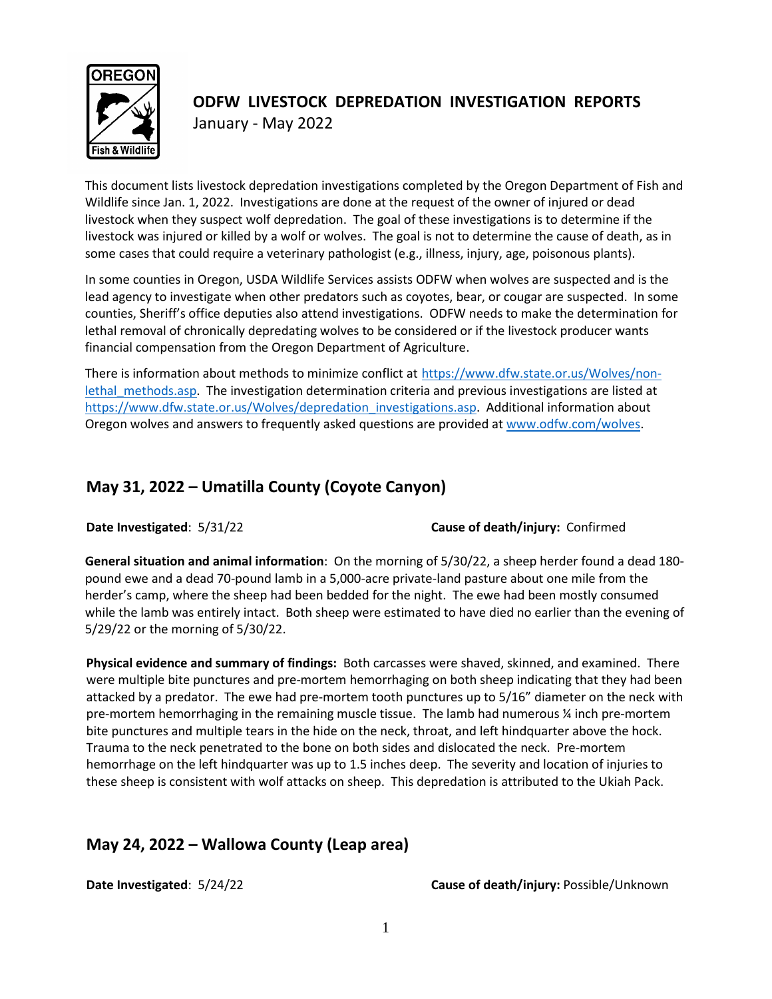

# **ODFW LIVESTOCK DEPREDATION INVESTIGATION REPORTS** January - May 2022

This document lists livestock depredation investigations completed by the Oregon Department of Fish and Wildlife since Jan. 1, 2022. Investigations are done at the request of the owner of injured or dead livestock when they suspect wolf depredation. The goal of these investigations is to determine if the livestock was injured or killed by a wolf or wolves. The goal is not to determine the cause of death, as in some cases that could require a veterinary pathologist (e.g., illness, injury, age, poisonous plants).

In some counties in Oregon, USDA Wildlife Services assists ODFW when wolves are suspected and is the lead agency to investigate when other predators such as coyotes, bear, or cougar are suspected. In some counties, Sheriff's office deputies also attend investigations. ODFW needs to make the determination for lethal removal of chronically depredating wolves to be considered or if the livestock producer wants financial compensation from the Oregon Department of Agriculture.

There is information about methods to minimize conflict at [https://www.dfw.state.or.us/Wolves/non](https://www.dfw.state.or.us/Wolves/non-lethal_methods.asp)lethal methods.asp. The investigation determination criteria and previous investigations are listed at [https://www.dfw.state.or.us/Wolves/depredation\\_investigations.asp.](https://www.dfw.state.or.us/Wolves/depredation_investigations.asp) Additional information about Oregon wolves and answers to frequently asked questions are provided a[t www.odfw.com/wolves.](http://www.odfw.com/wolves)

### **May 31, 2022 – Umatilla County (Coyote Canyon)**

**Date Investigated**: 5/31/22 **Cause of death/injury:** Confirmed

**General situation and animal information**: On the morning of 5/30/22, a sheep herder found a dead 180 pound ewe and a dead 70-pound lamb in a 5,000-acre private-land pasture about one mile from the herder's camp, where the sheep had been bedded for the night. The ewe had been mostly consumed while the lamb was entirely intact. Both sheep were estimated to have died no earlier than the evening of 5/29/22 or the morning of 5/30/22.

**Physical evidence and summary of findings:** Both carcasses were shaved, skinned, and examined. There were multiple bite punctures and pre-mortem hemorrhaging on both sheep indicating that they had been attacked by a predator. The ewe had pre-mortem tooth punctures up to 5/16" diameter on the neck with pre-mortem hemorrhaging in the remaining muscle tissue. The lamb had numerous ¼ inch pre-mortem bite punctures and multiple tears in the hide on the neck, throat, and left hindquarter above the hock. Trauma to the neck penetrated to the bone on both sides and dislocated the neck. Pre-mortem hemorrhage on the left hindquarter was up to 1.5 inches deep. The severity and location of injuries to these sheep is consistent with wolf attacks on sheep. This depredation is attributed to the Ukiah Pack.

#### **May 24, 2022 – Wallowa County (Leap area)**

**Date Investigated**: 5/24/22 **Cause of death/injury:** Possible/Unknown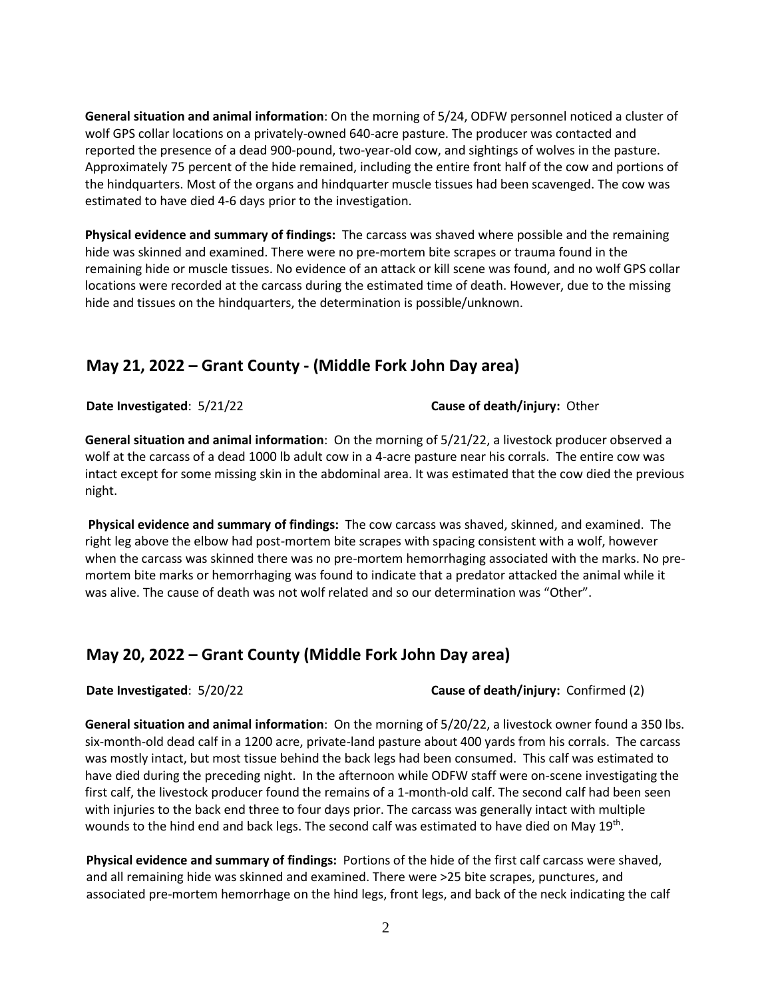**General situation and animal information**: On the morning of 5/24, ODFW personnel noticed a cluster of wolf GPS collar locations on a privately-owned 640-acre pasture. The producer was contacted and reported the presence of a dead 900-pound, two-year-old cow, and sightings of wolves in the pasture. Approximately 75 percent of the hide remained, including the entire front half of the cow and portions of the hindquarters. Most of the organs and hindquarter muscle tissues had been scavenged. The cow was estimated to have died 4-6 days prior to the investigation.

**Physical evidence and summary of findings:** The carcass was shaved where possible and the remaining hide was skinned and examined. There were no pre-mortem bite scrapes or trauma found in the remaining hide or muscle tissues. No evidence of an attack or kill scene was found, and no wolf GPS collar locations were recorded at the carcass during the estimated time of death. However, due to the missing hide and tissues on the hindquarters, the determination is possible/unknown.

#### **May 21, 2022 – Grant County - (Middle Fork John Day area)**

**Date Investigated**: 5/21/22 **Cause of death/injury:** Other

**General situation and animal information**: On the morning of 5/21/22, a livestock producer observed a wolf at the carcass of a dead 1000 lb adult cow in a 4-acre pasture near his corrals. The entire cow was intact except for some missing skin in the abdominal area. It was estimated that the cow died the previous night.

**Physical evidence and summary of findings:** The cow carcass was shaved, skinned, and examined. The right leg above the elbow had post-mortem bite scrapes with spacing consistent with a wolf, however when the carcass was skinned there was no pre-mortem hemorrhaging associated with the marks. No premortem bite marks or hemorrhaging was found to indicate that a predator attacked the animal while it was alive. The cause of death was not wolf related and so our determination was "Other".

#### **May 20, 2022 – Grant County (Middle Fork John Day area)**

**Date Investigated**: 5/20/22 **Cause of death/injury:** Confirmed (2)

**General situation and animal information**: On the morning of 5/20/22, a livestock owner found a 350 lbs. six-month-old dead calf in a 1200 acre, private-land pasture about 400 yards from his corrals. The carcass was mostly intact, but most tissue behind the back legs had been consumed. This calf was estimated to have died during the preceding night. In the afternoon while ODFW staff were on-scene investigating the first calf, the livestock producer found the remains of a 1-month-old calf. The second calf had been seen with injuries to the back end three to four days prior. The carcass was generally intact with multiple wounds to the hind end and back legs. The second calf was estimated to have died on May 19<sup>th</sup>.

**Physical evidence and summary of findings:** Portions of the hide of the first calf carcass were shaved, and all remaining hide was skinned and examined. There were >25 bite scrapes, punctures, and associated pre-mortem hemorrhage on the hind legs, front legs, and back of the neck indicating the calf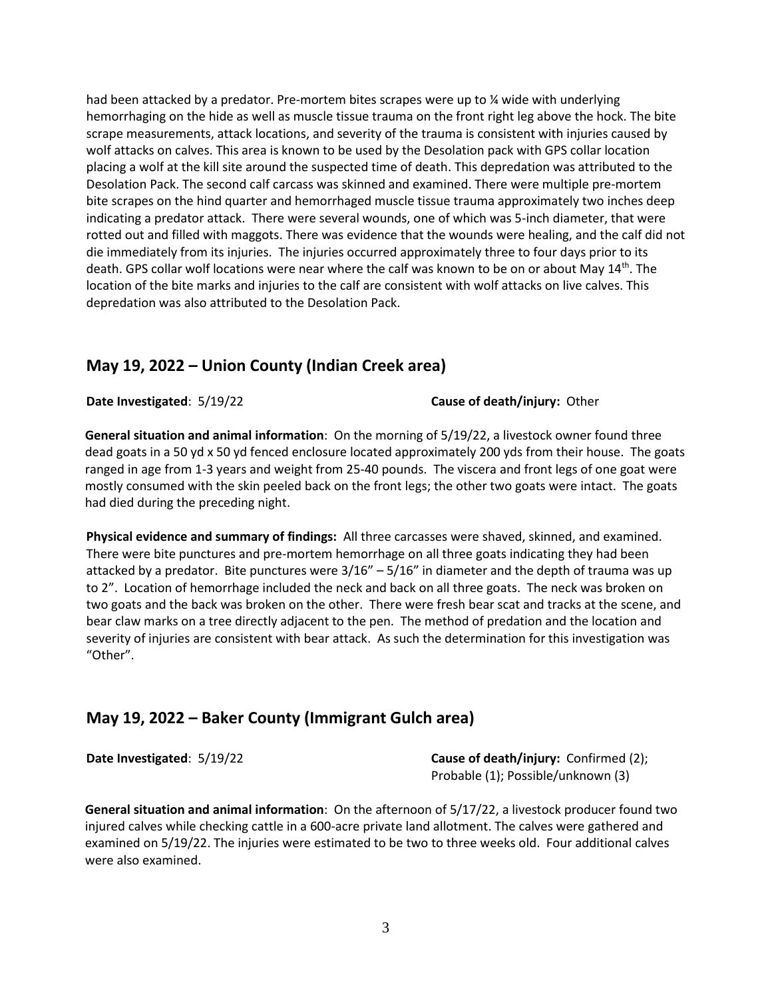had been attacked by a predator. Pre-mortem bites scrapes were up to % wide with underlying hemorrhaging on the hide as well as muscle tissue trauma on the front right leg above the hock. The bite scrape measurements, attack locations, and severity of the trauma is consistent with injuries caused by wolf attacks on calves. This area is known to be used by the Desolation pack with GPS collar location placing a wolf at the kill site around the suspected time of death. This depredation was attributed to the Desolation Pack. The second calf carcass was skinned and examined. There were multiple pre-mortem bite scrapes on the hind quarter and hemorrhaged muscle tissue trauma approximately two inches deep indicating a predator attack. There were several wounds, one of which was 5-inch diameter, that were rotted out and filled with maggots. There was evidence that the wounds were healing, and the calf did not die immediately from its injuries. The injuries occurred approximately three to four days prior to its death. GPS collar wolf locations were near where the calf was known to be on or about May 14<sup>th</sup>. The location of the bite marks and injuries to the calf are consistent with wolf attacks on live calves. This depredation was also attributed to the Desolation Pack.

#### **May 19, 2022 – Union County (Indian Creek area)**

**Date Investigated**: 5/19/22 **Cause of death/injury:** Other

**General situation and animal information**: On the morning of 5/19/22, a livestock owner found three dead goats in a 50 yd x 50 yd fenced enclosure located approximately 200 yds from their house. The goats ranged in age from 1-3 years and weight from 25-40 pounds. The viscera and front legs of one goat were mostly consumed with the skin peeled back on the front legs; the other two goats were intact. The goats had died during the preceding night.

**Physical evidence and summary of findings:** All three carcasses were shaved, skinned, and examined. There were bite punctures and pre-mortem hemorrhage on all three goats indicating they had been attacked by a predator. Bite punctures were  $3/16'' - 5/16''$  in diameter and the depth of trauma was up to 2". Location of hemorrhage included the neck and back on all three goats. The neck was broken on two goats and the back was broken on the other. There were fresh bear scat and tracks at the scene, and bear claw marks on a tree directly adjacent to the pen. The method of predation and the location and severity of injuries are consistent with bear attack. As such the determination for this investigation was "Other".

#### **May 19, 2022 – Baker County (Immigrant Gulch area)**

**Date Investigated:**  $5/19/22$  **Cause of death/injury:** Confirmed (2); Probable (1); Possible/unknown (3)

**General situation and animal information**: On the afternoon of 5/17/22, a livestock producer found two injured calves while checking cattle in a 600-acre private land allotment. The calves were gathered and examined on 5/19/22. The injuries were estimated to be two to three weeks old. Four additional calves were also examined.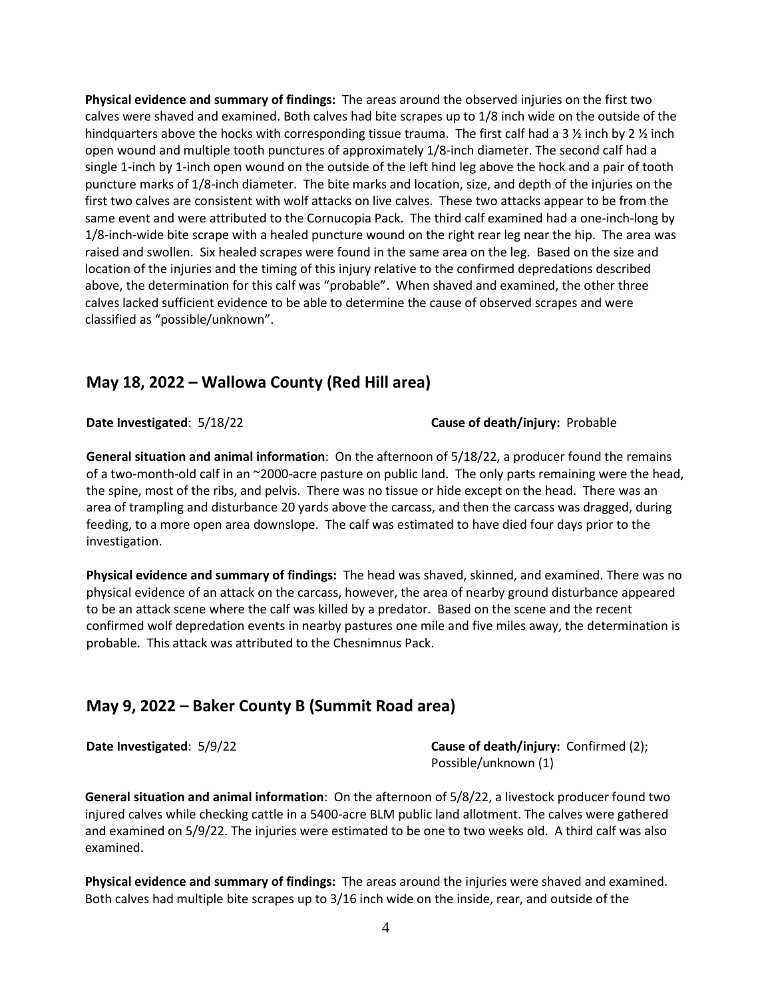**Physical evidence and summary of findings:** The areas around the observed injuries on the first two calves were shaved and examined. Both calves had bite scrapes up to 1/8 inch wide on the outside of the hindquarters above the hocks with corresponding tissue trauma. The first calf had a 3  $\frac{1}{2}$  inch by 2  $\frac{1}{2}$  inch open wound and multiple tooth punctures of approximately 1/8-inch diameter. The second calf had a single 1-inch by 1-inch open wound on the outside of the left hind leg above the hock and a pair of tooth puncture marks of 1/8-inch diameter. The bite marks and location, size, and depth of the injuries on the first two calves are consistent with wolf attacks on live calves. These two attacks appear to be from the same event and were attributed to the Cornucopia Pack. The third calf examined had a one-inch-long by 1/8-inch-wide bite scrape with a healed puncture wound on the right rear leg near the hip. The area was raised and swollen. Six healed scrapes were found in the same area on the leg. Based on the size and location of the injuries and the timing of this injury relative to the confirmed depredations described above, the determination for this calf was "probable". When shaved and examined, the other three calves lacked sufficient evidence to be able to determine the cause of observed scrapes and were classified as "possible/unknown".

#### **May 18, 2022 – Wallowa County (Red Hill area)**

**Date Investigated**: 5/18/22 **Cause of death/injury:** Probable

**General situation and animal information**: On the afternoon of 5/18/22, a producer found the remains of a two-month-old calf in an ~2000-acre pasture on public land. The only parts remaining were the head, the spine, most of the ribs, and pelvis. There was no tissue or hide except on the head. There was an area of trampling and disturbance 20 yards above the carcass, and then the carcass was dragged, during feeding, to a more open area downslope. The calf was estimated to have died four days prior to the investigation.

**Physical evidence and summary of findings:** The head was shaved, skinned, and examined. There was no physical evidence of an attack on the carcass, however, the area of nearby ground disturbance appeared to be an attack scene where the calf was killed by a predator. Based on the scene and the recent confirmed wolf depredation events in nearby pastures one mile and five miles away, the determination is probable. This attack was attributed to the Chesnimnus Pack.

#### **May 9, 2022 – Baker County B (Summit Road area)**

**Date Investigated**: 5/9/22 **Cause of death/injury:** Confirmed (2); Possible/unknown (1)

**General situation and animal information**: On the afternoon of 5/8/22, a livestock producer found two injured calves while checking cattle in a 5400-acre BLM public land allotment. The calves were gathered and examined on 5/9/22. The injuries were estimated to be one to two weeks old. A third calf was also examined.

**Physical evidence and summary of findings:** The areas around the injuries were shaved and examined. Both calves had multiple bite scrapes up to 3/16 inch wide on the inside, rear, and outside of the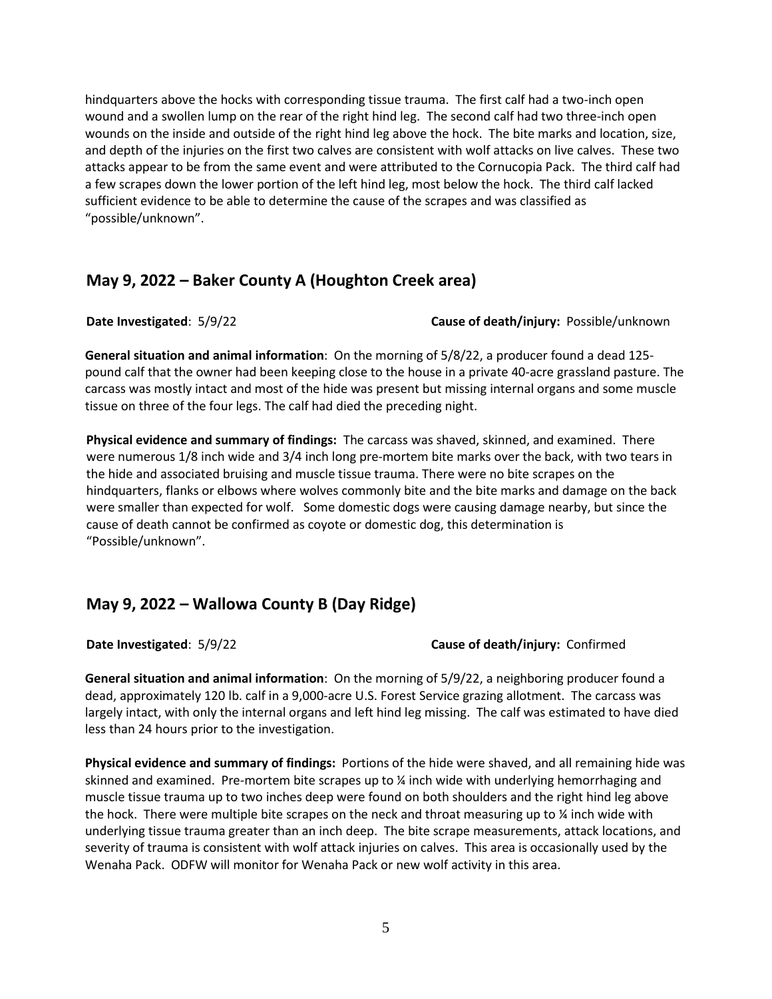hindquarters above the hocks with corresponding tissue trauma. The first calf had a two-inch open wound and a swollen lump on the rear of the right hind leg. The second calf had two three-inch open wounds on the inside and outside of the right hind leg above the hock. The bite marks and location, size, and depth of the injuries on the first two calves are consistent with wolf attacks on live calves. These two attacks appear to be from the same event and were attributed to the Cornucopia Pack. The third calf had a few scrapes down the lower portion of the left hind leg, most below the hock. The third calf lacked sufficient evidence to be able to determine the cause of the scrapes and was classified as "possible/unknown".

#### **May 9, 2022 – Baker County A (Houghton Creek area)**

**Date Investigated**: 5/9/22 **Cause of death/injury:** Possible/unknown

**General situation and animal information**: On the morning of 5/8/22, a producer found a dead 125 pound calf that the owner had been keeping close to the house in a private 40-acre grassland pasture. The carcass was mostly intact and most of the hide was present but missing internal organs and some muscle tissue on three of the four legs. The calf had died the preceding night.

**Physical evidence and summary of findings:** The carcass was shaved, skinned, and examined. There were numerous 1/8 inch wide and 3/4 inch long pre-mortem bite marks over the back, with two tears in the hide and associated bruising and muscle tissue trauma. There were no bite scrapes on the hindquarters, flanks or elbows where wolves commonly bite and the bite marks and damage on the back were smaller than expected for wolf. Some domestic dogs were causing damage nearby, but since the cause of death cannot be confirmed as coyote or domestic dog, this determination is "Possible/unknown".

# **May 9, 2022 – Wallowa County B (Day Ridge)**

#### **Date Investigated**: 5/9/22 **Cause of death/injury:** Confirmed

**General situation and animal information**: On the morning of 5/9/22, a neighboring producer found a dead, approximately 120 lb. calf in a 9,000-acre U.S. Forest Service grazing allotment. The carcass was largely intact, with only the internal organs and left hind leg missing. The calf was estimated to have died less than 24 hours prior to the investigation.

**Physical evidence and summary of findings:** Portions of the hide were shaved, and all remaining hide was skinned and examined. Pre-mortem bite scrapes up to ¼ inch wide with underlying hemorrhaging and muscle tissue trauma up to two inches deep were found on both shoulders and the right hind leg above the hock. There were multiple bite scrapes on the neck and throat measuring up to  $\chi$  inch wide with underlying tissue trauma greater than an inch deep. The bite scrape measurements, attack locations, and severity of trauma is consistent with wolf attack injuries on calves. This area is occasionally used by the Wenaha Pack. ODFW will monitor for Wenaha Pack or new wolf activity in this area.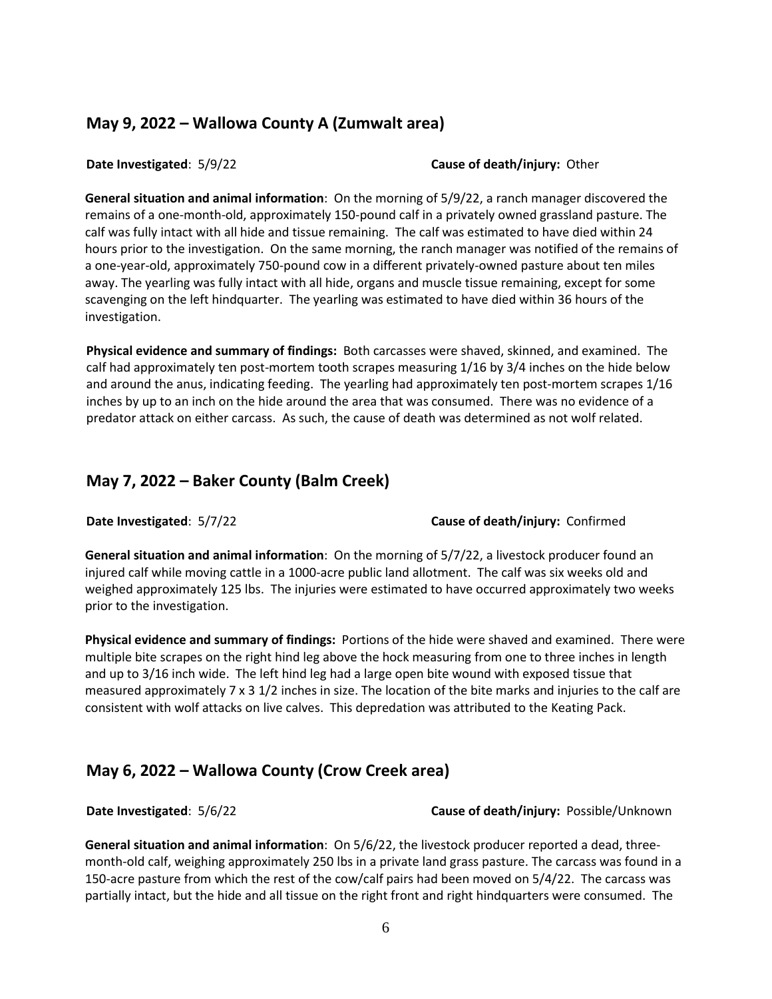#### **May 9, 2022 – Wallowa County A (Zumwalt area)**

**Date Investigated**: 5/9/22 **Cause of death/injury:** Other

**General situation and animal information**: On the morning of 5/9/22, a ranch manager discovered the remains of a one-month-old, approximately 150-pound calf in a privately owned grassland pasture. The calf was fully intact with all hide and tissue remaining. The calf was estimated to have died within 24 hours prior to the investigation. On the same morning, the ranch manager was notified of the remains of a one-year-old, approximately 750-pound cow in a different privately-owned pasture about ten miles away. The yearling was fully intact with all hide, organs and muscle tissue remaining, except for some scavenging on the left hindquarter. The yearling was estimated to have died within 36 hours of the investigation.

**Physical evidence and summary of findings:** Both carcasses were shaved, skinned, and examined. The calf had approximately ten post-mortem tooth scrapes measuring 1/16 by 3/4 inches on the hide below and around the anus, indicating feeding. The yearling had approximately ten post-mortem scrapes 1/16 inches by up to an inch on the hide around the area that was consumed. There was no evidence of a predator attack on either carcass. As such, the cause of death was determined as not wolf related.

#### **May 7, 2022 – Baker County (Balm Creek)**

**Date Investigated**: 5/7/22 **Cause of death/injury:** Confirmed

**General situation and animal information**: On the morning of 5/7/22, a livestock producer found an injured calf while moving cattle in a 1000-acre public land allotment. The calf was six weeks old and weighed approximately 125 lbs. The injuries were estimated to have occurred approximately two weeks prior to the investigation.

**Physical evidence and summary of findings:** Portions of the hide were shaved and examined. There were multiple bite scrapes on the right hind leg above the hock measuring from one to three inches in length and up to 3/16 inch wide. The left hind leg had a large open bite wound with exposed tissue that measured approximately 7 x 3 1/2 inches in size. The location of the bite marks and injuries to the calf are consistent with wolf attacks on live calves. This depredation was attributed to the Keating Pack.

#### **May 6, 2022 – Wallowa County (Crow Creek area)**

**Date Investigated**: 5/6/22 **Cause of death/injury:** Possible/Unknown

**General situation and animal information**: On 5/6/22, the livestock producer reported a dead, threemonth-old calf, weighing approximately 250 lbs in a private land grass pasture. The carcass was found in a 150-acre pasture from which the rest of the cow/calf pairs had been moved on 5/4/22. The carcass was partially intact, but the hide and all tissue on the right front and right hindquarters were consumed. The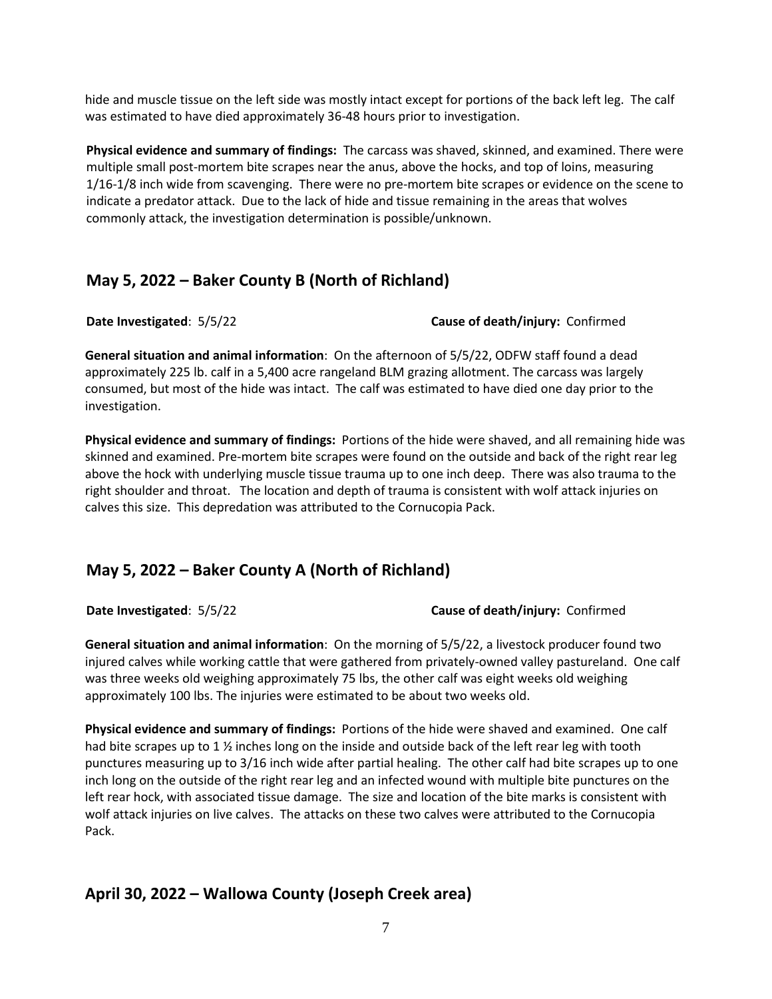hide and muscle tissue on the left side was mostly intact except for portions of the back left leg. The calf was estimated to have died approximately 36-48 hours prior to investigation.

**Physical evidence and summary of findings:** The carcass was shaved, skinned, and examined. There were multiple small post-mortem bite scrapes near the anus, above the hocks, and top of loins, measuring 1/16-1/8 inch wide from scavenging. There were no pre-mortem bite scrapes or evidence on the scene to indicate a predator attack. Due to the lack of hide and tissue remaining in the areas that wolves commonly attack, the investigation determination is possible/unknown.

#### **May 5, 2022 – Baker County B (North of Richland)**

**Date Investigated**: 5/5/22 **Cause of death/injury:** Confirmed

**General situation and animal information**: On the afternoon of 5/5/22, ODFW staff found a dead approximately 225 lb. calf in a 5,400 acre rangeland BLM grazing allotment. The carcass was largely consumed, but most of the hide was intact. The calf was estimated to have died one day prior to the investigation.

**Physical evidence and summary of findings:** Portions of the hide were shaved, and all remaining hide was skinned and examined. Pre-mortem bite scrapes were found on the outside and back of the right rear leg above the hock with underlying muscle tissue trauma up to one inch deep. There was also trauma to the right shoulder and throat. The location and depth of trauma is consistent with wolf attack injuries on calves this size. This depredation was attributed to the Cornucopia Pack.

# **May 5, 2022 – Baker County A (North of Richland)**

**Date Investigated**: 5/5/22 **Cause of death/injury:** Confirmed

**General situation and animal information**: On the morning of 5/5/22, a livestock producer found two injured calves while working cattle that were gathered from privately-owned valley pastureland. One calf was three weeks old weighing approximately 75 lbs, the other calf was eight weeks old weighing approximately 100 lbs. The injuries were estimated to be about two weeks old.

**Physical evidence and summary of findings:** Portions of the hide were shaved and examined. One calf had bite scrapes up to 1 % inches long on the inside and outside back of the left rear leg with tooth punctures measuring up to 3/16 inch wide after partial healing. The other calf had bite scrapes up to one inch long on the outside of the right rear leg and an infected wound with multiple bite punctures on the left rear hock, with associated tissue damage. The size and location of the bite marks is consistent with wolf attack injuries on live calves. The attacks on these two calves were attributed to the Cornucopia Pack.

# **April 30, 2022 – Wallowa County (Joseph Creek area)**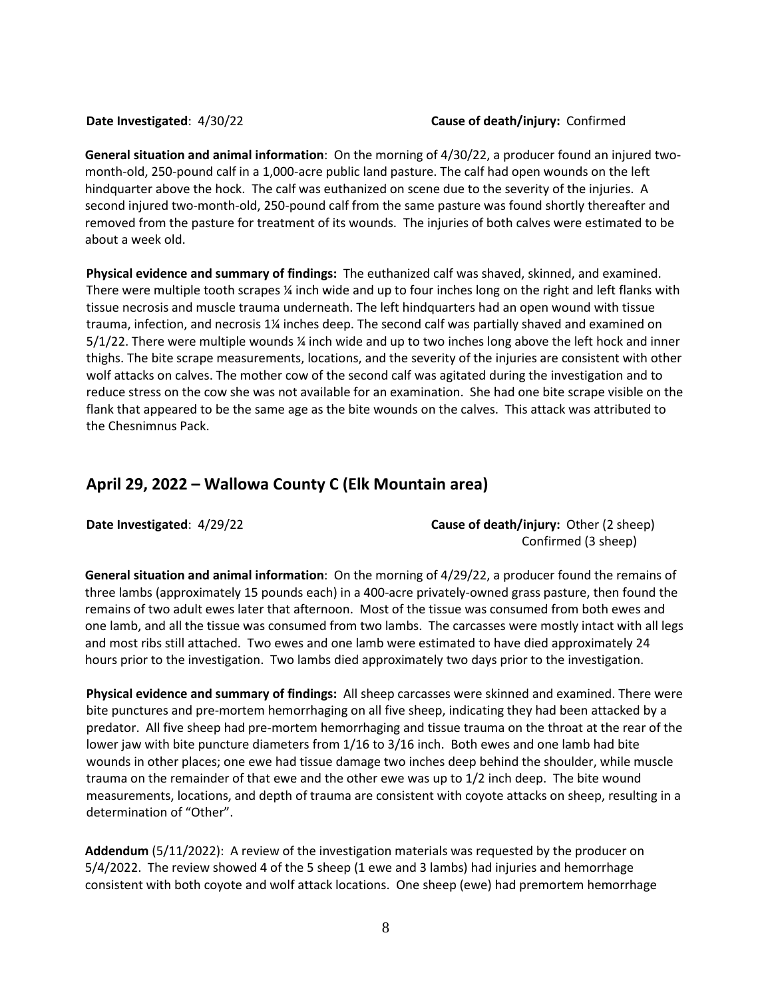#### **Date Investigated**: 4/30/22 **Cause of death/injury:** Confirmed

**General situation and animal information**: On the morning of 4/30/22, a producer found an injured twomonth-old, 250-pound calf in a 1,000-acre public land pasture. The calf had open wounds on the left hindquarter above the hock. The calf was euthanized on scene due to the severity of the injuries. A second injured two-month-old, 250-pound calf from the same pasture was found shortly thereafter and removed from the pasture for treatment of its wounds. The injuries of both calves were estimated to be about a week old.

**Physical evidence and summary of findings:** The euthanized calf was shaved, skinned, and examined. There were multiple tooth scrapes ¼ inch wide and up to four inches long on the right and left flanks with tissue necrosis and muscle trauma underneath. The left hindquarters had an open wound with tissue trauma, infection, and necrosis 1¼ inches deep. The second calf was partially shaved and examined on 5/1/22. There were multiple wounds ¼ inch wide and up to two inches long above the left hock and inner thighs. The bite scrape measurements, locations, and the severity of the injuries are consistent with other wolf attacks on calves. The mother cow of the second calf was agitated during the investigation and to reduce stress on the cow she was not available for an examination. She had one bite scrape visible on the flank that appeared to be the same age as the bite wounds on the calves. This attack was attributed to the Chesnimnus Pack.

#### **April 29, 2022 – Wallowa County C (Elk Mountain area)**

**Date Investigated:** 4/29/22 **Cause of death/injury:** Other (2 sheep) Confirmed (3 sheep)

**General situation and animal information**: On the morning of 4/29/22, a producer found the remains of three lambs (approximately 15 pounds each) in a 400-acre privately-owned grass pasture, then found the remains of two adult ewes later that afternoon. Most of the tissue was consumed from both ewes and one lamb, and all the tissue was consumed from two lambs. The carcasses were mostly intact with all legs and most ribs still attached. Two ewes and one lamb were estimated to have died approximately 24 hours prior to the investigation. Two lambs died approximately two days prior to the investigation.

**Physical evidence and summary of findings:** All sheep carcasses were skinned and examined. There were bite punctures and pre-mortem hemorrhaging on all five sheep, indicating they had been attacked by a predator. All five sheep had pre-mortem hemorrhaging and tissue trauma on the throat at the rear of the lower jaw with bite puncture diameters from 1/16 to 3/16 inch. Both ewes and one lamb had bite wounds in other places; one ewe had tissue damage two inches deep behind the shoulder, while muscle trauma on the remainder of that ewe and the other ewe was up to 1/2 inch deep. The bite wound measurements, locations, and depth of trauma are consistent with coyote attacks on sheep, resulting in a determination of "Other".

**Addendum** (5/11/2022): A review of the investigation materials was requested by the producer on 5/4/2022. The review showed 4 of the 5 sheep (1 ewe and 3 lambs) had injuries and hemorrhage consistent with both coyote and wolf attack locations. One sheep (ewe) had premortem hemorrhage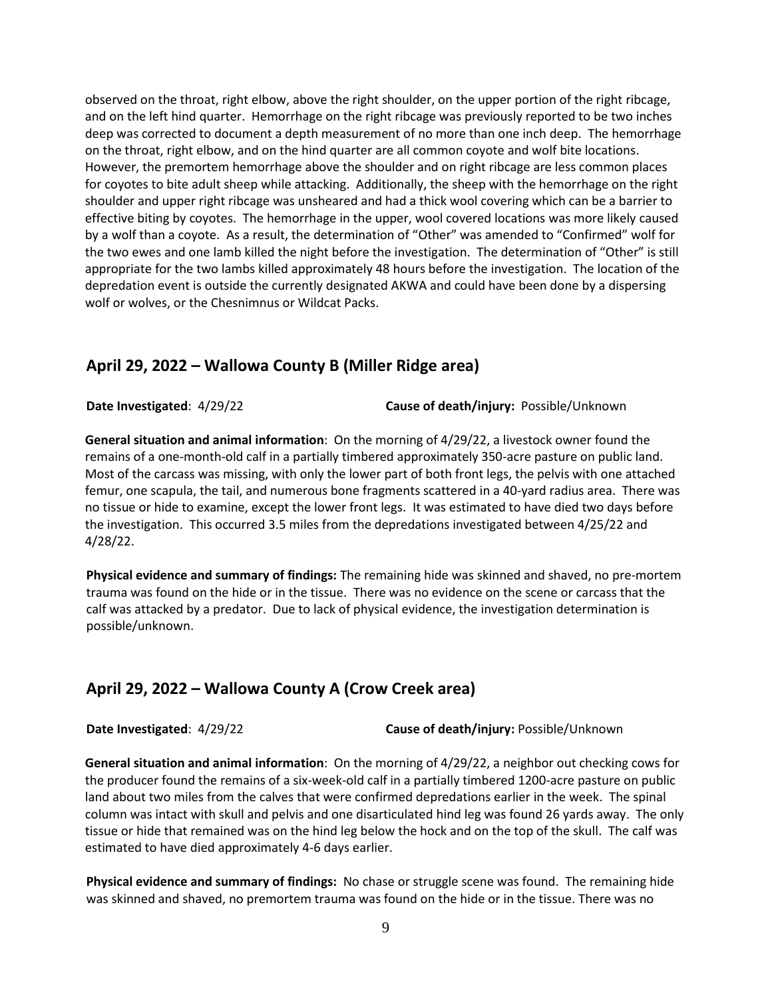observed on the throat, right elbow, above the right shoulder, on the upper portion of the right ribcage, and on the left hind quarter. Hemorrhage on the right ribcage was previously reported to be two inches deep was corrected to document a depth measurement of no more than one inch deep. The hemorrhage on the throat, right elbow, and on the hind quarter are all common coyote and wolf bite locations. However, the premortem hemorrhage above the shoulder and on right ribcage are less common places for coyotes to bite adult sheep while attacking. Additionally, the sheep with the hemorrhage on the right shoulder and upper right ribcage was unsheared and had a thick wool covering which can be a barrier to effective biting by coyotes. The hemorrhage in the upper, wool covered locations was more likely caused by a wolf than a coyote. As a result, the determination of "Other" was amended to "Confirmed" wolf for the two ewes and one lamb killed the night before the investigation. The determination of "Other" is still appropriate for the two lambs killed approximately 48 hours before the investigation. The location of the depredation event is outside the currently designated AKWA and could have been done by a dispersing wolf or wolves, or the Chesnimnus or Wildcat Packs.

#### **April 29, 2022 – Wallowa County B (Miller Ridge area)**

**Date Investigated**: 4/29/22 **Cause of death/injury:** Possible/Unknown

**General situation and animal information**: On the morning of 4/29/22, a livestock owner found the remains of a one-month-old calf in a partially timbered approximately 350-acre pasture on public land. Most of the carcass was missing, with only the lower part of both front legs, the pelvis with one attached femur, one scapula, the tail, and numerous bone fragments scattered in a 40-yard radius area. There was no tissue or hide to examine, except the lower front legs. It was estimated to have died two days before the investigation. This occurred 3.5 miles from the depredations investigated between 4/25/22 and 4/28/22.

**Physical evidence and summary of findings:** The remaining hide was skinned and shaved, no pre-mortem trauma was found on the hide or in the tissue. There was no evidence on the scene or carcass that the calf was attacked by a predator. Due to lack of physical evidence, the investigation determination is possible/unknown.

#### **April 29, 2022 – Wallowa County A (Crow Creek area)**

**Date Investigated**: 4/29/22 **Cause of death/injury:** Possible/Unknown

**General situation and animal information**: On the morning of 4/29/22, a neighbor out checking cows for the producer found the remains of a six-week-old calf in a partially timbered 1200-acre pasture on public land about two miles from the calves that were confirmed depredations earlier in the week. The spinal column was intact with skull and pelvis and one disarticulated hind leg was found 26 yards away. The only tissue or hide that remained was on the hind leg below the hock and on the top of the skull. The calf was estimated to have died approximately 4-6 days earlier.

**Physical evidence and summary of findings:** No chase or struggle scene was found. The remaining hide was skinned and shaved, no premortem trauma was found on the hide or in the tissue. There was no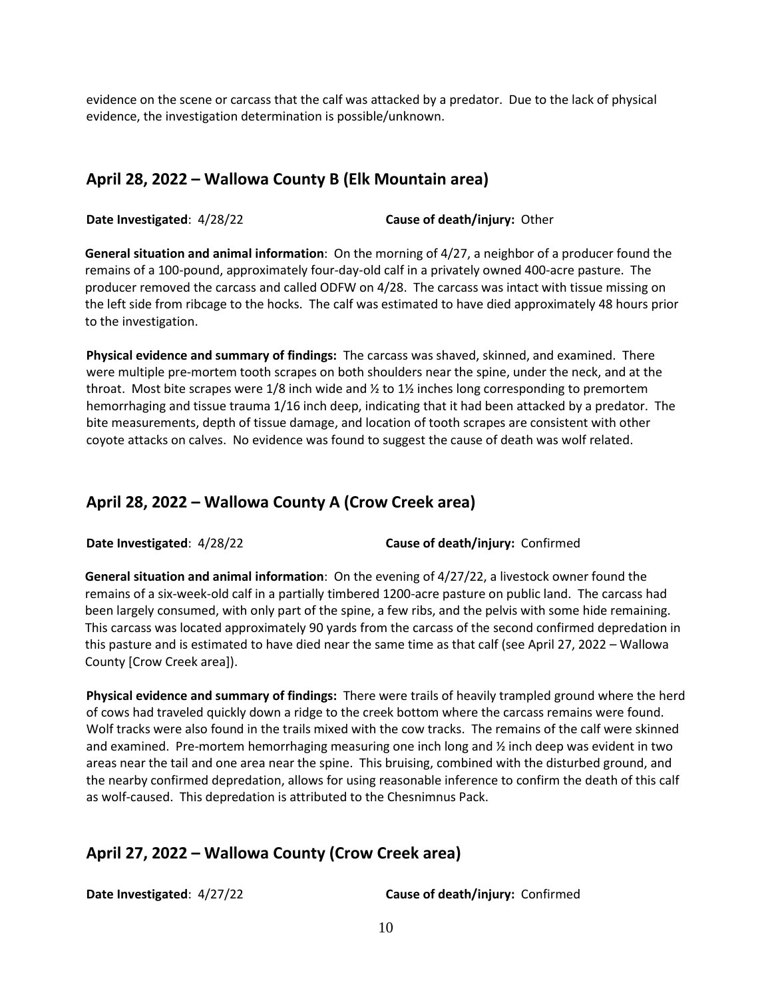evidence on the scene or carcass that the calf was attacked by a predator. Due to the lack of physical evidence, the investigation determination is possible/unknown.

#### **April 28, 2022 – Wallowa County B (Elk Mountain area)**

**Date Investigated**: 4/28/22 **Cause of death/injury:** Other

**General situation and animal information**: On the morning of 4/27, a neighbor of a producer found the remains of a 100-pound, approximately four-day-old calf in a privately owned 400-acre pasture. The producer removed the carcass and called ODFW on 4/28. The carcass was intact with tissue missing on the left side from ribcage to the hocks. The calf was estimated to have died approximately 48 hours prior to the investigation.

**Physical evidence and summary of findings:** The carcass was shaved, skinned, and examined. There were multiple pre-mortem tooth scrapes on both shoulders near the spine, under the neck, and at the throat. Most bite scrapes were 1/8 inch wide and  $\frac{1}{2}$  to 1 $\frac{1}{2}$  inches long corresponding to premortem hemorrhaging and tissue trauma 1/16 inch deep, indicating that it had been attacked by a predator. The bite measurements, depth of tissue damage, and location of tooth scrapes are consistent with other coyote attacks on calves. No evidence was found to suggest the cause of death was wolf related.

#### **April 28, 2022 – Wallowa County A (Crow Creek area)**

**Date Investigated**: 4/28/22 **Cause of death/injury:** Confirmed

**General situation and animal information**: On the evening of 4/27/22, a livestock owner found the remains of a six-week-old calf in a partially timbered 1200-acre pasture on public land. The carcass had been largely consumed, with only part of the spine, a few ribs, and the pelvis with some hide remaining. This carcass was located approximately 90 yards from the carcass of the second confirmed depredation in this pasture and is estimated to have died near the same time as that calf (see April 27, 2022 – Wallowa County [Crow Creek area]).

**Physical evidence and summary of findings:** There were trails of heavily trampled ground where the herd of cows had traveled quickly down a ridge to the creek bottom where the carcass remains were found. Wolf tracks were also found in the trails mixed with the cow tracks. The remains of the calf were skinned and examined. Pre-mortem hemorrhaging measuring one inch long and ½ inch deep was evident in two areas near the tail and one area near the spine. This bruising, combined with the disturbed ground, and the nearby confirmed depredation, allows for using reasonable inference to confirm the death of this calf as wolf-caused. This depredation is attributed to the Chesnimnus Pack.

#### **April 27, 2022 – Wallowa County (Crow Creek area)**

**Date Investigated**: 4/27/22 **Cause of death/injury:** Confirmed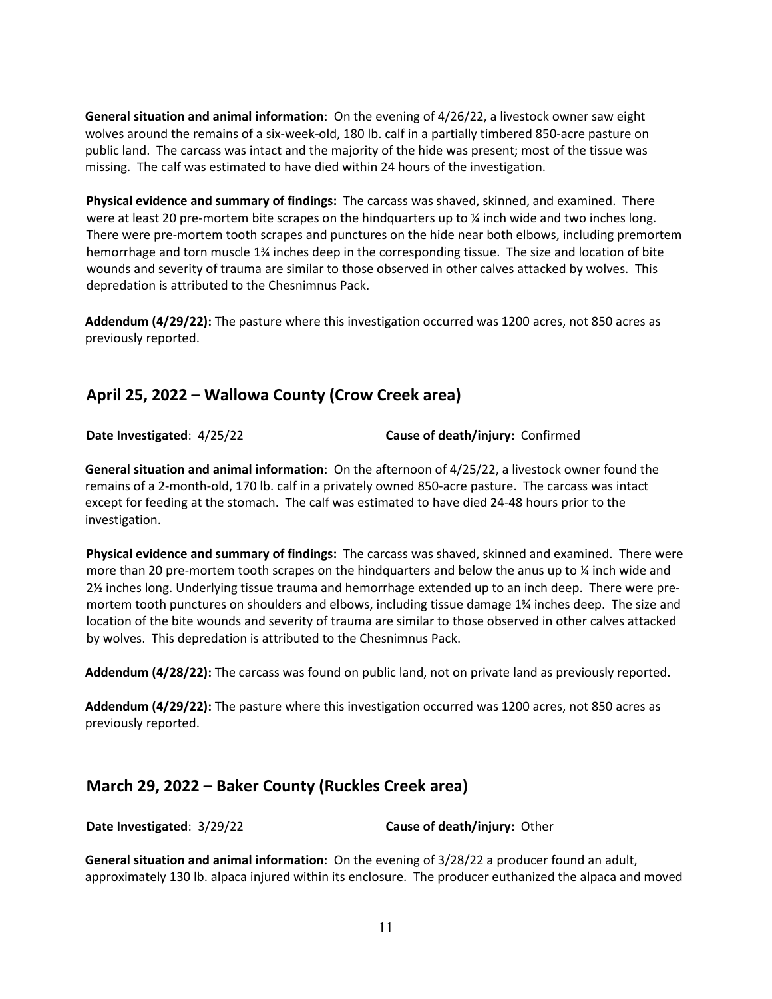**General situation and animal information**: On the evening of 4/26/22, a livestock owner saw eight wolves around the remains of a six-week-old, 180 lb. calf in a partially timbered 850-acre pasture on public land. The carcass was intact and the majority of the hide was present; most of the tissue was missing. The calf was estimated to have died within 24 hours of the investigation.

**Physical evidence and summary of findings:** The carcass was shaved, skinned, and examined. There were at least 20 pre-mortem bite scrapes on the hindquarters up to  $\chi$  inch wide and two inches long. There were pre-mortem tooth scrapes and punctures on the hide near both elbows, including premortem hemorrhage and torn muscle 1¾ inches deep in the corresponding tissue. The size and location of bite wounds and severity of trauma are similar to those observed in other calves attacked by wolves. This depredation is attributed to the Chesnimnus Pack.

**Addendum (4/29/22):** The pasture where this investigation occurred was 1200 acres, not 850 acres as previously reported.

#### **April 25, 2022 – Wallowa County (Crow Creek area)**

**Date Investigated**: 4/25/22 **Cause of death/injury:** Confirmed

**General situation and animal information**: On the afternoon of 4/25/22, a livestock owner found the remains of a 2-month-old, 170 lb. calf in a privately owned 850-acre pasture. The carcass was intact except for feeding at the stomach. The calf was estimated to have died 24-48 hours prior to the investigation.

**Physical evidence and summary of findings:** The carcass was shaved, skinned and examined. There were more than 20 pre-mortem tooth scrapes on the hindquarters and below the anus up to  $\frac{1}{4}$  inch wide and 2½ inches long. Underlying tissue trauma and hemorrhage extended up to an inch deep. There were premortem tooth punctures on shoulders and elbows, including tissue damage 1¾ inches deep. The size and location of the bite wounds and severity of trauma are similar to those observed in other calves attacked by wolves. This depredation is attributed to the Chesnimnus Pack.

**Addendum (4/28/22):** The carcass was found on public land, not on private land as previously reported.

**Addendum (4/29/22):** The pasture where this investigation occurred was 1200 acres, not 850 acres as previously reported.

#### **March 29, 2022 – Baker County (Ruckles Creek area)**

**Date Investigated**: 3/29/22 **Cause of death/injury:** Other

**General situation and animal information**: On the evening of 3/28/22 a producer found an adult, approximately 130 lb. alpaca injured within its enclosure. The producer euthanized the alpaca and moved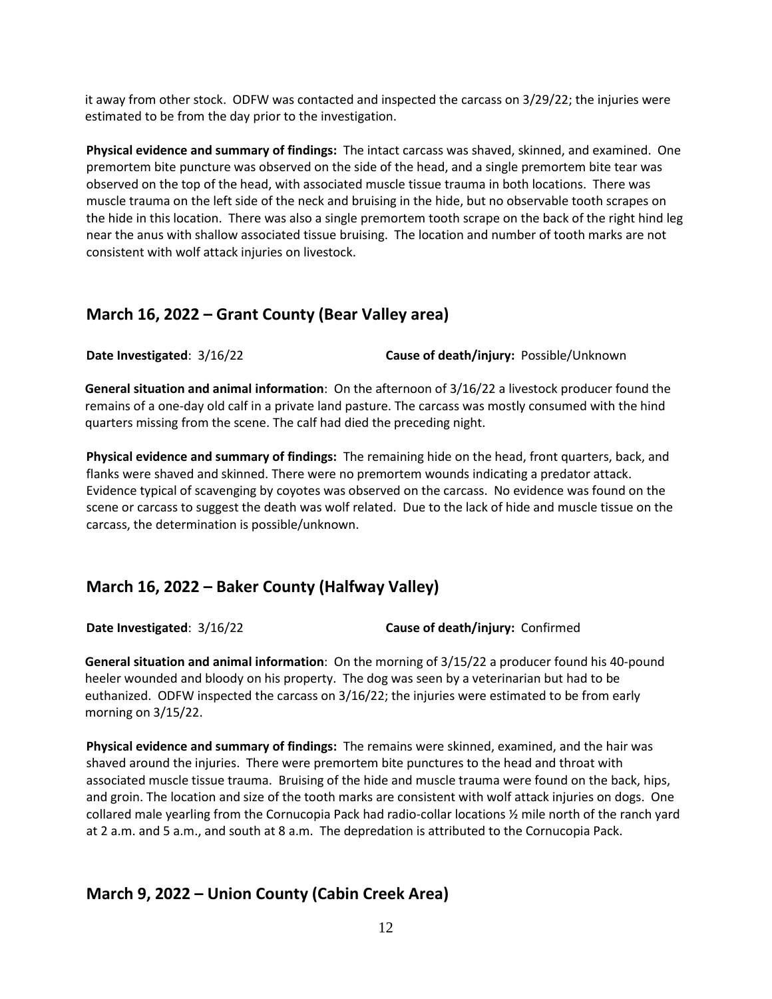it away from other stock. ODFW was contacted and inspected the carcass on 3/29/22; the injuries were estimated to be from the day prior to the investigation.

**Physical evidence and summary of findings:** The intact carcass was shaved, skinned, and examined. One premortem bite puncture was observed on the side of the head, and a single premortem bite tear was observed on the top of the head, with associated muscle tissue trauma in both locations. There was muscle trauma on the left side of the neck and bruising in the hide, but no observable tooth scrapes on the hide in this location. There was also a single premortem tooth scrape on the back of the right hind leg near the anus with shallow associated tissue bruising. The location and number of tooth marks are not consistent with wolf attack injuries on livestock.

#### **March 16, 2022 – Grant County (Bear Valley area)**

**Date Investigated**: 3/16/22 **Cause of death/injury:** Possible/Unknown

**General situation and animal information**: On the afternoon of 3/16/22 a livestock producer found the remains of a one-day old calf in a private land pasture. The carcass was mostly consumed with the hind quarters missing from the scene. The calf had died the preceding night.

**Physical evidence and summary of findings:** The remaining hide on the head, front quarters, back, and flanks were shaved and skinned. There were no premortem wounds indicating a predator attack. Evidence typical of scavenging by coyotes was observed on the carcass. No evidence was found on the scene or carcass to suggest the death was wolf related. Due to the lack of hide and muscle tissue on the carcass, the determination is possible/unknown.

#### **March 16, 2022 – Baker County (Halfway Valley)**

**Date Investigated**: 3/16/22 **Cause of death/injury:** Confirmed

**General situation and animal information**: On the morning of 3/15/22 a producer found his 40-pound heeler wounded and bloody on his property. The dog was seen by a veterinarian but had to be euthanized. ODFW inspected the carcass on 3/16/22; the injuries were estimated to be from early morning on 3/15/22.

**Physical evidence and summary of findings:** The remains were skinned, examined, and the hair was shaved around the injuries. There were premortem bite punctures to the head and throat with associated muscle tissue trauma. Bruising of the hide and muscle trauma were found on the back, hips, and groin. The location and size of the tooth marks are consistent with wolf attack injuries on dogs. One collared male yearling from the Cornucopia Pack had radio-collar locations ½ mile north of the ranch yard at 2 a.m. and 5 a.m., and south at 8 a.m. The depredation is attributed to the Cornucopia Pack.

# **March 9, 2022 – Union County (Cabin Creek Area)**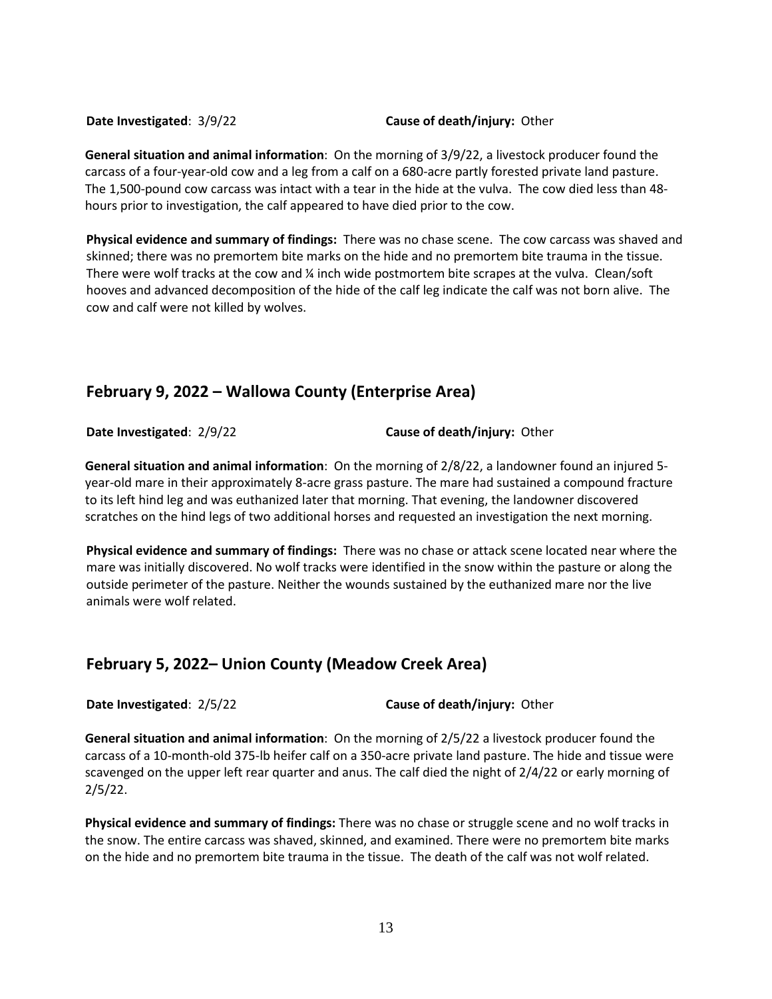#### **Date Investigated**: 3/9/22 **Cause of death/injury:** Other

**General situation and animal information**: On the morning of 3/9/22, a livestock producer found the carcass of a four-year-old cow and a leg from a calf on a 680-acre partly forested private land pasture. The 1,500-pound cow carcass was intact with a tear in the hide at the vulva. The cow died less than 48 hours prior to investigation, the calf appeared to have died prior to the cow.

**Physical evidence and summary of findings:** There was no chase scene. The cow carcass was shaved and skinned; there was no premortem bite marks on the hide and no premortem bite trauma in the tissue. There were wolf tracks at the cow and ¼ inch wide postmortem bite scrapes at the vulva. Clean/soft hooves and advanced decomposition of the hide of the calf leg indicate the calf was not born alive. The cow and calf were not killed by wolves.

#### **February 9, 2022 – Wallowa County (Enterprise Area)**

**Date Investigated**: 2/9/22 **Cause of death/injury:** Other

**General situation and animal information**: On the morning of 2/8/22, a landowner found an injured 5 year-old mare in their approximately 8-acre grass pasture. The mare had sustained a compound fracture to its left hind leg and was euthanized later that morning. That evening, the landowner discovered scratches on the hind legs of two additional horses and requested an investigation the next morning.

**Physical evidence and summary of findings:** There was no chase or attack scene located near where the mare was initially discovered. No wolf tracks were identified in the snow within the pasture or along the outside perimeter of the pasture. Neither the wounds sustained by the euthanized mare nor the live animals were wolf related.

#### **February 5, 2022– Union County (Meadow Creek Area)**

**Date Investigated**: 2/5/22 **Cause of death/injury:** Other

**General situation and animal information**: On the morning of 2/5/22 a livestock producer found the carcass of a 10-month-old 375-lb heifer calf on a 350-acre private land pasture. The hide and tissue were scavenged on the upper left rear quarter and anus. The calf died the night of 2/4/22 or early morning of 2/5/22.

**Physical evidence and summary of findings:** There was no chase or struggle scene and no wolf tracks in the snow. The entire carcass was shaved, skinned, and examined. There were no premortem bite marks on the hide and no premortem bite trauma in the tissue. The death of the calf was not wolf related.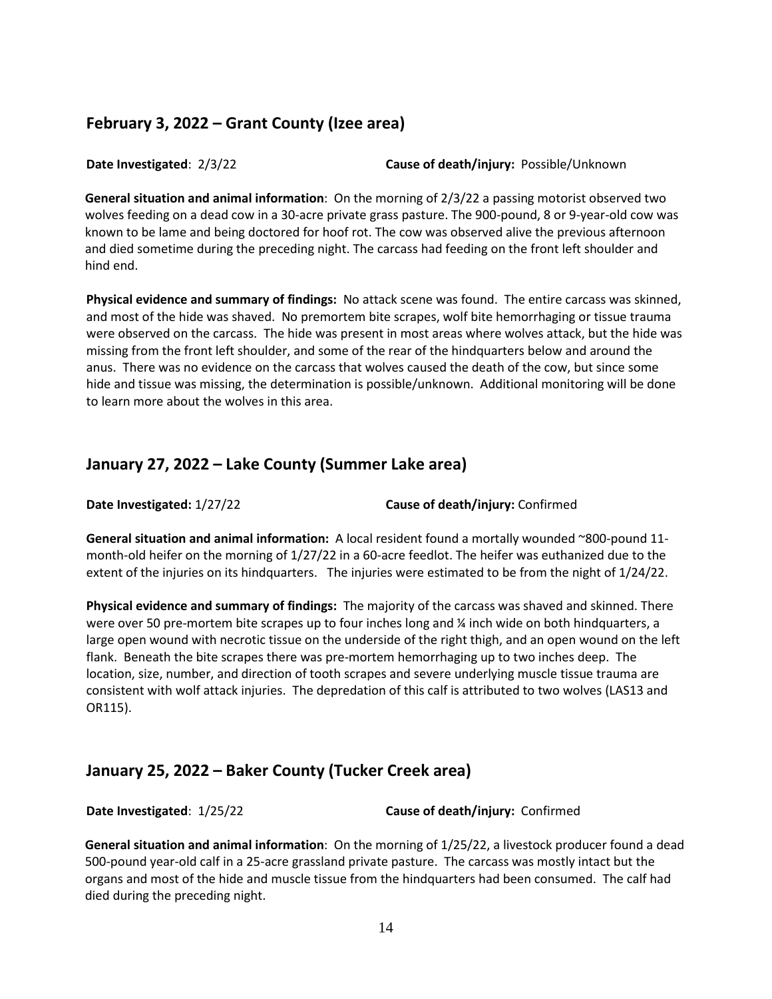#### **February 3, 2022 – Grant County (Izee area)**

**Date Investigated**: 2/3/22 **Cause of death/injury:** Possible/Unknown

**General situation and animal information**: On the morning of 2/3/22 a passing motorist observed two wolves feeding on a dead cow in a 30-acre private grass pasture. The 900-pound, 8 or 9-year-old cow was known to be lame and being doctored for hoof rot. The cow was observed alive the previous afternoon and died sometime during the preceding night. The carcass had feeding on the front left shoulder and hind end.

**Physical evidence and summary of findings:** No attack scene was found. The entire carcass was skinned, and most of the hide was shaved. No premortem bite scrapes, wolf bite hemorrhaging or tissue trauma were observed on the carcass. The hide was present in most areas where wolves attack, but the hide was missing from the front left shoulder, and some of the rear of the hindquarters below and around the anus. There was no evidence on the carcass that wolves caused the death of the cow, but since some hide and tissue was missing, the determination is possible/unknown. Additional monitoring will be done to learn more about the wolves in this area.

#### **January 27, 2022 – Lake County (Summer Lake area)**

**Date Investigated:** 1/27/22 **Cause of death/injury:** Confirmed

**General situation and animal information:** A local resident found a mortally wounded ~800-pound 11 month-old heifer on the morning of 1/27/22 in a 60-acre feedlot. The heifer was euthanized due to the extent of the injuries on its hindquarters. The injuries were estimated to be from the night of 1/24/22.

**Physical evidence and summary of findings:** The majority of the carcass was shaved and skinned. There were over 50 pre-mortem bite scrapes up to four inches long and % inch wide on both hindquarters, a large open wound with necrotic tissue on the underside of the right thigh, and an open wound on the left flank. Beneath the bite scrapes there was pre-mortem hemorrhaging up to two inches deep. The location, size, number, and direction of tooth scrapes and severe underlying muscle tissue trauma are consistent with wolf attack injuries. The depredation of this calf is attributed to two wolves (LAS13 and OR115).

#### **January 25, 2022 – Baker County (Tucker Creek area)**

**Date Investigated**: 1/25/22 **Cause of death/injury:** Confirmed

**General situation and animal information**: On the morning of 1/25/22, a livestock producer found a dead 500-pound year-old calf in a 25-acre grassland private pasture. The carcass was mostly intact but the organs and most of the hide and muscle tissue from the hindquarters had been consumed. The calf had died during the preceding night.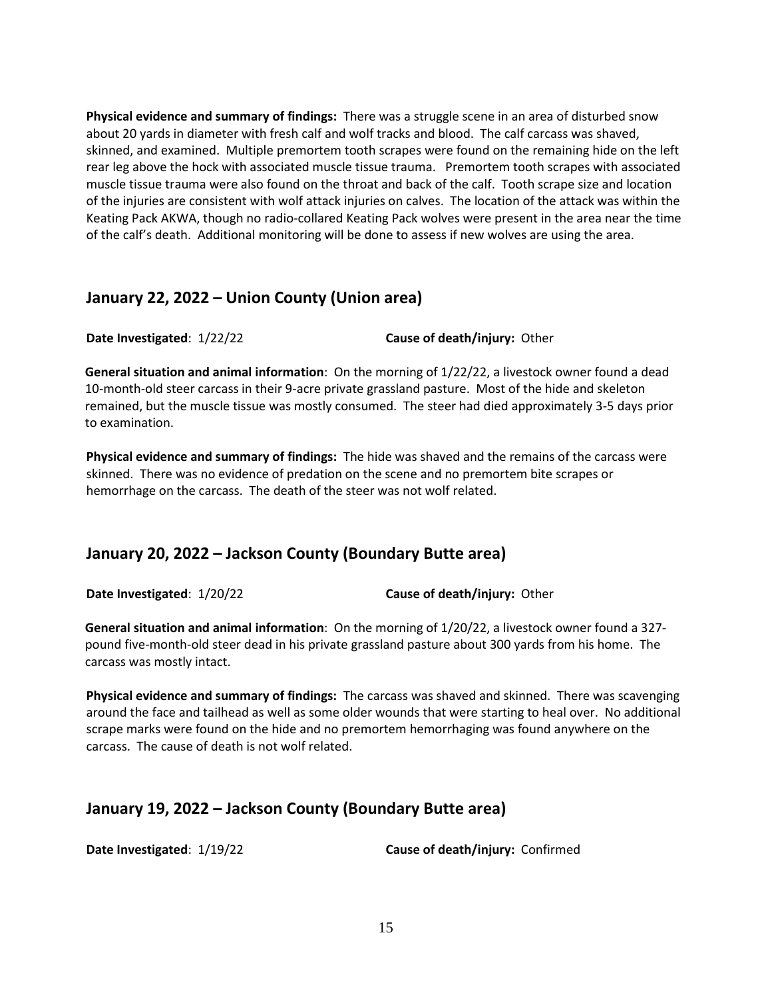**Physical evidence and summary of findings:** There was a struggle scene in an area of disturbed snow about 20 yards in diameter with fresh calf and wolf tracks and blood. The calf carcass was shaved, skinned, and examined. Multiple premortem tooth scrapes were found on the remaining hide on the left rear leg above the hock with associated muscle tissue trauma. Premortem tooth scrapes with associated muscle tissue trauma were also found on the throat and back of the calf. Tooth scrape size and location of the injuries are consistent with wolf attack injuries on calves. The location of the attack was within the Keating Pack AKWA, though no radio-collared Keating Pack wolves were present in the area near the time of the calf's death. Additional monitoring will be done to assess if new wolves are using the area.

#### **January 22, 2022 – Union County (Union area)**

**Date Investigated**: 1/22/22 **Cause of death/injury:** Other

**General situation and animal information**: On the morning of 1/22/22, a livestock owner found a dead 10-month-old steer carcass in their 9-acre private grassland pasture. Most of the hide and skeleton remained, but the muscle tissue was mostly consumed. The steer had died approximately 3-5 days prior to examination.

**Physical evidence and summary of findings:** The hide was shaved and the remains of the carcass were skinned. There was no evidence of predation on the scene and no premortem bite scrapes or hemorrhage on the carcass. The death of the steer was not wolf related.

#### **January 20, 2022 – Jackson County (Boundary Butte area)**

**Date Investigated**: 1/20/22 **Cause of death/injury:** Other

**General situation and animal information**: On the morning of 1/20/22, a livestock owner found a 327 pound five-month-old steer dead in his private grassland pasture about 300 yards from his home. The carcass was mostly intact.

**Physical evidence and summary of findings:** The carcass was shaved and skinned. There was scavenging around the face and tailhead as well as some older wounds that were starting to heal over. No additional scrape marks were found on the hide and no premortem hemorrhaging was found anywhere on the carcass. The cause of death is not wolf related.

#### **January 19, 2022 – Jackson County (Boundary Butte area)**

**Date Investigated**: 1/19/22 **Cause of death/injury:** Confirmed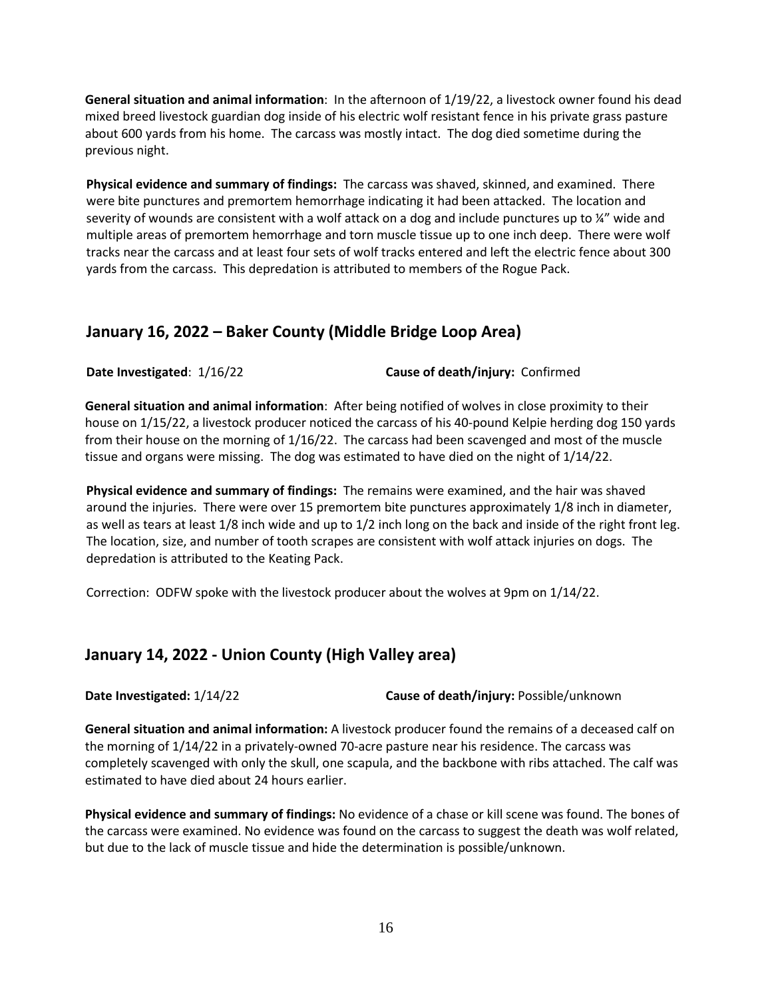**General situation and animal information**: In the afternoon of 1/19/22, a livestock owner found his dead mixed breed livestock guardian dog inside of his electric wolf resistant fence in his private grass pasture about 600 yards from his home. The carcass was mostly intact. The dog died sometime during the previous night.

**Physical evidence and summary of findings:** The carcass was shaved, skinned, and examined. There were bite punctures and premortem hemorrhage indicating it had been attacked. The location and severity of wounds are consistent with a wolf attack on a dog and include punctures up to ¼" wide and multiple areas of premortem hemorrhage and torn muscle tissue up to one inch deep. There were wolf tracks near the carcass and at least four sets of wolf tracks entered and left the electric fence about 300 yards from the carcass. This depredation is attributed to members of the Rogue Pack.

#### **January 16, 2022 – Baker County (Middle Bridge Loop Area)**

**Date Investigated**: 1/16/22 **Cause of death/injury:** Confirmed

**General situation and animal information**: After being notified of wolves in close proximity to their house on 1/15/22, a livestock producer noticed the carcass of his 40-pound Kelpie herding dog 150 yards from their house on the morning of 1/16/22. The carcass had been scavenged and most of the muscle tissue and organs were missing. The dog was estimated to have died on the night of 1/14/22.

**Physical evidence and summary of findings:** The remains were examined, and the hair was shaved around the injuries. There were over 15 premortem bite punctures approximately 1/8 inch in diameter, as well as tears at least 1/8 inch wide and up to 1/2 inch long on the back and inside of the right front leg. The location, size, and number of tooth scrapes are consistent with wolf attack injuries on dogs. The depredation is attributed to the Keating Pack.

Correction: ODFW spoke with the livestock producer about the wolves at 9pm on 1/14/22.

#### **January 14, 2022 - Union County (High Valley area)**

**Date Investigated:** 1/14/22 **Cause of death/injury:** Possible/unknown

**General situation and animal information:** A livestock producer found the remains of a deceased calf on the morning of 1/14/22 in a privately-owned 70-acre pasture near his residence. The carcass was completely scavenged with only the skull, one scapula, and the backbone with ribs attached. The calf was estimated to have died about 24 hours earlier.

**Physical evidence and summary of findings:** No evidence of a chase or kill scene was found. The bones of the carcass were examined. No evidence was found on the carcass to suggest the death was wolf related, but due to the lack of muscle tissue and hide the determination is possible/unknown.